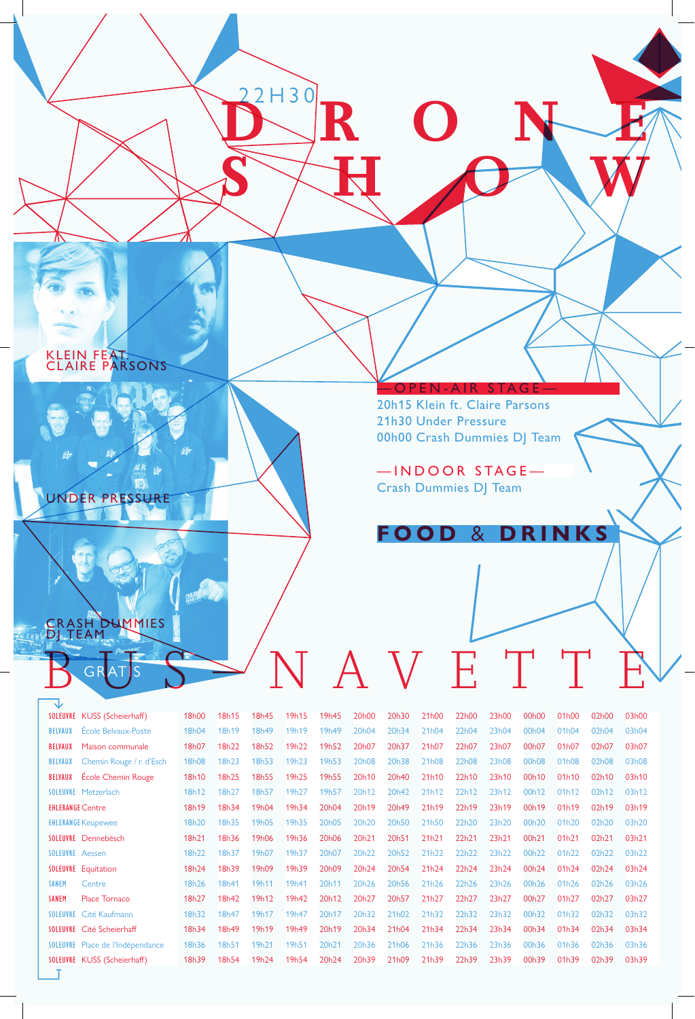